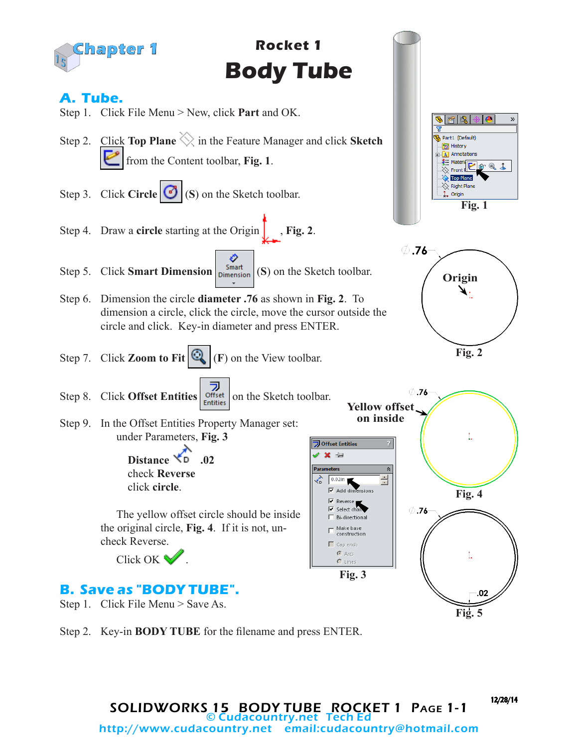

Step 2. Key-in **BODY TUBE** for the filename and press ENTER.

12/28/14